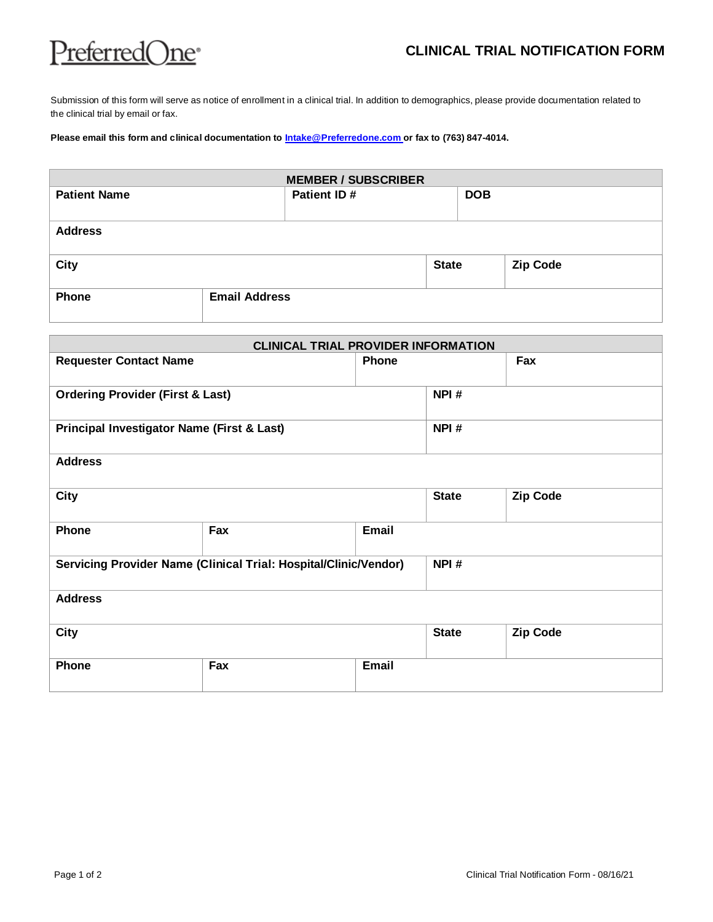

Submission of this form will serve as notice of enrollment in a clinical trial. In addition to demographics, please provide documentation related to the clinical trial by email or fax.

## **Please email this form and clinical documentation to [Intake@Preferredone.com o](mailto:intake@preferredone.com)r fax to (763) 847-4014.**

| <b>MEMBER / SUBSCRIBER</b> |                      |              |            |                 |  |  |
|----------------------------|----------------------|--------------|------------|-----------------|--|--|
| <b>Patient Name</b>        | Patient ID#          |              | <b>DOB</b> |                 |  |  |
| <b>Address</b>             |                      |              |            |                 |  |  |
| <b>City</b>                |                      | <b>State</b> |            | <b>Zip Code</b> |  |  |
| Phone                      | <b>Email Address</b> |              |            |                 |  |  |

| <b>CLINICAL TRIAL PROVIDER INFORMATION</b>                       |     |              |              |                 |  |  |
|------------------------------------------------------------------|-----|--------------|--------------|-----------------|--|--|
| <b>Requester Contact Name</b>                                    |     | <b>Phone</b> |              | Fax             |  |  |
| <b>Ordering Provider (First &amp; Last)</b>                      |     | NPI#         |              |                 |  |  |
| Principal Investigator Name (First & Last)                       |     | NPI#         |              |                 |  |  |
| <b>Address</b>                                                   |     |              |              |                 |  |  |
| <b>City</b>                                                      |     |              | <b>State</b> | <b>Zip Code</b> |  |  |
| Phone                                                            | Fax | Email        |              |                 |  |  |
| Servicing Provider Name (Clinical Trial: Hospital/Clinic/Vendor) |     |              | NPI#         |                 |  |  |
| <b>Address</b>                                                   |     |              |              |                 |  |  |
| City                                                             |     |              | <b>State</b> | Zip Code        |  |  |
| Phone                                                            | Fax | Email        |              |                 |  |  |